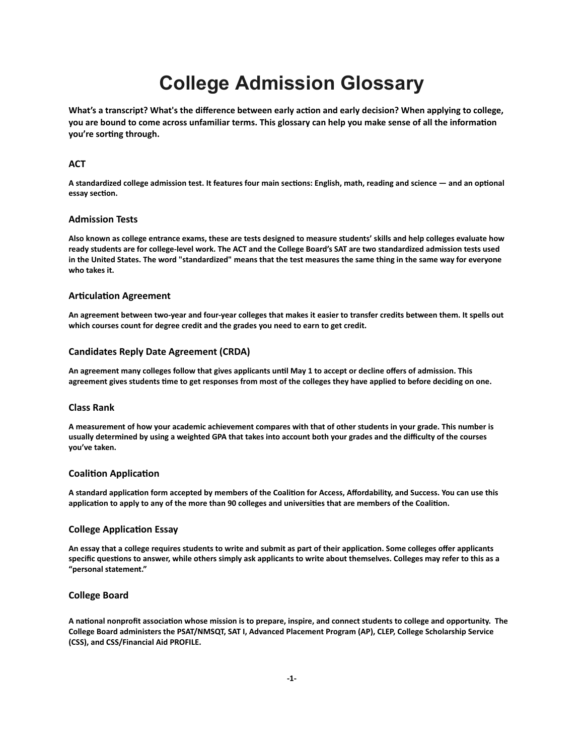# **College Admission Glossary**

**What's a transcript? What's the difference between early acon and early decision? When applying to college,** you are bound to come across unfamiliar terms. This glossary can help you make sense of all the information **you're** sorting through.

# **ACT**

A standardized college admission test. It features four main sections: English, math, reading and science — and an optional essay section.

# **Admission Tests**

**Also known as college entrance exams, these are tests designed to measure students' skills and help colleges evaluate how ready students are for college-level work. The ACT and the College Board's SAT are two standardized admission tests used in the United States. The word "standardized" means that the test measures the same thing in the same way for everyone who takes it.**

## **Articulation Agreement**

**An agreement between two-year and four-year colleges that makes it easier to transfer credits between them. It spells out which courses count for degree credit and the grades you need to earn to get credit.**

#### **Candidates Reply Date Agreement (CRDA)**

An agreement many colleges follow that gives applicants until May 1 to accept or decline offers of admission. This **agreement gives students me to get responses from most of the colleges they have applied to before deciding on one.**

## **Class Rank**

**A measurement of how your academic achievement compares with that of other students in your grade. This number is usually determined by using a weighted GPA that takes into account both your grades and the difficulty of the courses you've taken.**

#### **Coalition Application**

A standard application form accepted by members of the Coalition for Access, Affordability, and Success. You can use this application to apply to any of the more than 90 colleges and universities that are members of the Coalition.

# **College Application Essay**

An essay that a college requires students to write and submit as part of their application. Some colleges offer applicants specific questions to answer, while others simply ask applicants to write about themselves. Colleges may refer to this as a **"personal statement."**

## **College Board**

A national nonprofit association whose mission is to prepare, inspire, and connect students to college and opportunity. The **College Board administers the PSAT/NMSQT, SAT I, Advanced Placement Program (AP), CLEP, College Scholarship Service (CSS), and CSS/Financial Aid PROFILE.**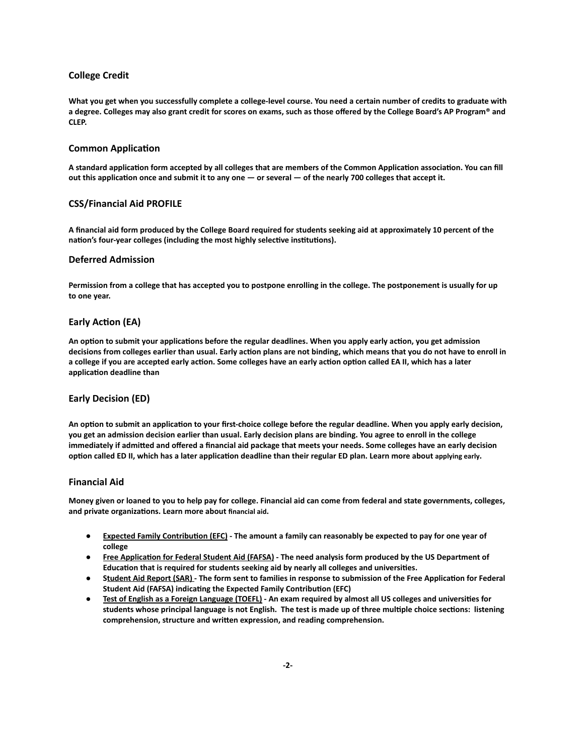# **College Credit**

**What you get when you successfully complete a college-level course. You need a certain number of credits to graduate with a degree. Colleges may also grant credit for scores on exams, such as those offered by the College Board's AP Program® and CLEP.**

#### **Common Application**

A standard application form accepted by all colleges that are members of the Common Application association. You can fill out this application once and submit it to any one — or several — of the nearly 700 colleges that accept it.

## **CSS/Financial Aid PROFILE**

**A financial aid form produced by the College Board required for students seeking aid at approximately 10 percent of the** nation's four-year colleges (including the most highly selective institutions).

#### **Deferred Admission**

**Permission from a college that has accepted you to postpone enrolling in the college. The postponement is usually for up to one year.**

## **Early Action (EA)**

An option to submit your applications before the regular deadlines. When you apply early action, you get admission decisions from colleges earlier than usual. Early action plans are not binding, which means that you do not have to enroll in a college if you are accepted early action. Some colleges have an early action option called EA II, which has a later application deadline than

## **Early Decision (ED)**

An option to submit an application to your first-choice college before the regular deadline. When you apply early decision, **you get an admission decision earlier than usual. Early decision plans are binding. You agree to enroll in the college** immediately if admitted and offered a financial aid package that meets your needs. Some colleges have an early decision **option called ED II, which has a later application deadline than their regular ED plan. Learn more about [applying](https://bigfuture.collegeboard.org/get-in/applying-101/the-facts-about-applying-early-is-it-right-for-you) early.** 

#### **Financial Aid**

**Money given or loaned to you to help pay for college. Financial aid can come from federal and state governments, colleges,** and private organizations. Learn more about [financial](https://bigfuture.collegeboard.org/pay-for-college/financial-aid-101/financial-aid-can-help-you-afford-college) aid.

- **• Expected Family Contribution (EFC)** The amount a family can reasonably be expected to pay for one year of **college**
- **• Free Application for Federal Student Aid (FAFSA)** The need analysis form produced by the US Department of Education that is required for students seeking aid by nearly all colleges and universities.
- **Student Aid Report (SAR)** The form sent to families in response to submission of the Free Application for Federal **Student Aid (FAFSA) indicating the Expected Family Contribution (EFC)**
- Test of English as a Foreign Language (TOEFL) An exam required by almost all US colleges and universities for students whose principal language is not English. The test is made up of three multiple choice sections: listening **comprehension, structure and wrien expression, and reading comprehension.**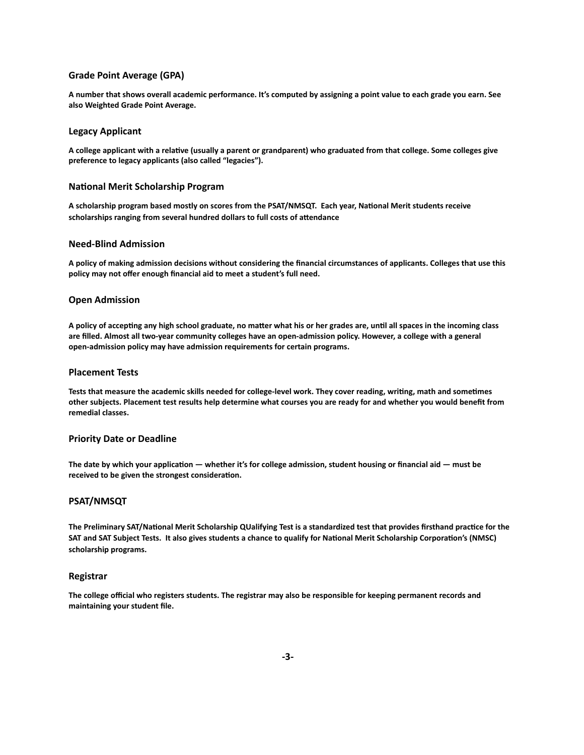# **Grade Point Average (GPA)**

**A number that shows overall academic performance. It's computed by assigning a point value to each grade you earn. See also Weighted Grade Point Average.**

#### **Legacy Applicant**

A college applicant with a relative (usually a parent or grandparent) who graduated from that college. Some colleges give **preference to legacy applicants (also called "legacies").**

#### **National Merit Scholarship Program**

A scholarship program based mostly on scores from the PSAT/NMSQT. Each year, National Merit students receive scholarships ranging from several hundred dollars to full costs of attendance

#### **Need-Blind Admission**

**A policy of making admission decisions without considering the financial circumstances of applicants. Colleges that use this policy may not offer enough financial aid to meet a student's full need.**

#### **Open Admission**

A policy of accepting any high school graduate, no matter what his or her grades are, until all spaces in the incoming class **are filled. Almost all two-year community colleges have an open-admission policy. However, a college with a general open-admission policy may have admission requirements for certain programs.**

## **Placement Tests**

Tests that measure the academic skills needed for college-level work. They cover reading, writing, math and sometimes **other subjects. Placement test results help determine what courses you are ready for and whether you would benefit from remedial classes.**

#### **Priority Date or Deadline**

The date by which your application — whether it's for college admission, student housing or financial aid — must be received to be given the strongest consideration.

## **PSAT/NMSQT**

The Preliminary SAT/National Merit Scholarship QUalifying Test is a standardized test that provides firsthand practice for the SAT and SAT Subject Tests. It also gives students a chance to qualify for National Merit Scholarship Corporation's (NMSC) **scholarship programs.**

#### **Registrar**

**The college official who registers students. The registrar may also be responsible for keeping permanent records and maintaining your student file.**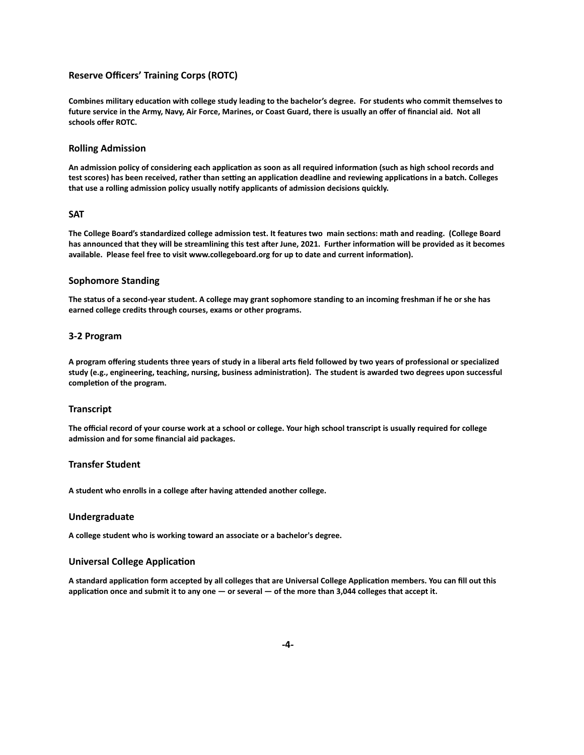# **Reserve Officers' Training Corps (ROTC)**

Combines military education with college study leading to the bachelor's degree. For students who commit themselves to **future service in the Army, Navy, Air Force, Marines, or Coast Guard, there is usually an offer of financial aid. Not all schools offer ROTC.**

#### **Rolling Admission**

An admission policy of considering each application as soon as all required information (such as high school records and test scores) has been received, rather than setting an application deadline and reviewing applications in a batch. Colleges that use a rolling admission policy usually notify applicants of admission decisions quickly.

# **SAT**

The College Board's standardized college admission test. It features two main sections: math and reading. (College Board has announced that they will be streamlining this test after June, 2021. Further information will be provided as it becomes available. Please feel free to visit www.collegeboard.org for up to date and current information).

## **Sophomore Standing**

**The status of a second-year student. A college may grant sophomore standing to an incoming freshman if he or she has earned college credits through courses, exams or other programs.**

#### **3-2 Program**

**A program offering students three years of study in a liberal arts field followed by two years of professional or specialized** study (e.g., engineering, teaching, nursing, business administration). The student is awarded two degrees upon successful completion of the program.

#### **Transcript**

**The official record of your course work at a school or college. Your high school transcript is usually required for college admission and for some financial aid packages.**

#### **Transfer Student**

A student who enrolls in a college after having attended another college.

#### **Undergraduate**

**A college student who is working toward an associate or a bachelor's degree.**

#### **Universal College Application**

A standard application form accepted by all colleges that are Universal College Application members. You can fill out this application once and submit it to any one — or several — of the more than 3,044 colleges that accept it.